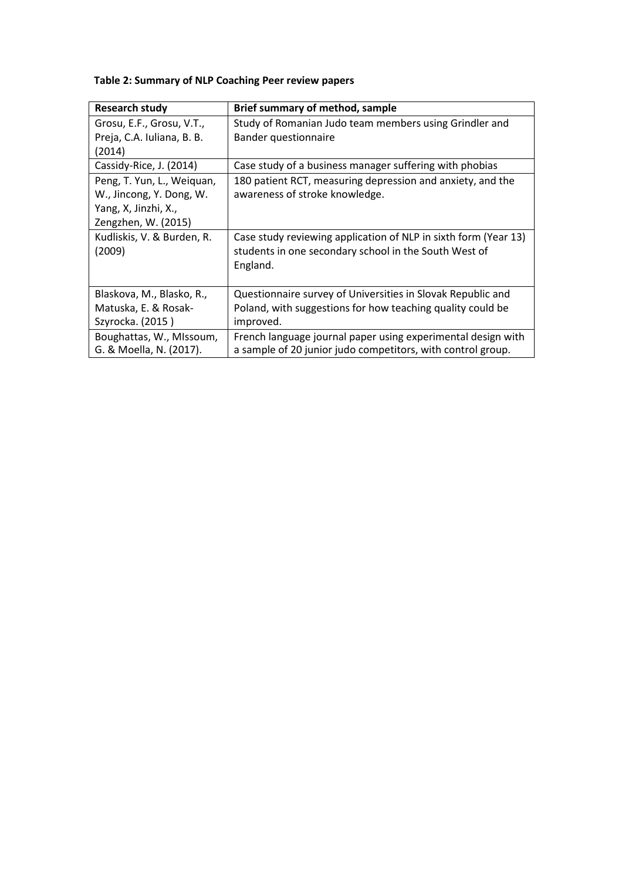## **Table 2: Summary of NLP Coaching Peer review papers**

| <b>Research study</b>      | Brief summary of method, sample                                 |
|----------------------------|-----------------------------------------------------------------|
| Grosu, E.F., Grosu, V.T.,  | Study of Romanian Judo team members using Grindler and          |
| Preja, C.A. Iuliana, B. B. | Bander questionnaire                                            |
| (2014)                     |                                                                 |
| Cassidy-Rice, J. (2014)    | Case study of a business manager suffering with phobias         |
| Peng, T. Yun, L., Weiquan, | 180 patient RCT, measuring depression and anxiety, and the      |
| W., Jincong, Y. Dong, W.   | awareness of stroke knowledge.                                  |
| Yang, X, Jinzhi, X.,       |                                                                 |
| Zengzhen, W. (2015)        |                                                                 |
| Kudliskis, V. & Burden, R. | Case study reviewing application of NLP in sixth form (Year 13) |
| (2009)                     | students in one secondary school in the South West of           |
|                            | England.                                                        |
|                            |                                                                 |
| Blaskova, M., Blasko, R.,  | Questionnaire survey of Universities in Slovak Republic and     |
| Matuska, E. & Rosak-       | Poland, with suggestions for how teaching quality could be      |
| Szyrocka. (2015)           | improved.                                                       |
| Boughattas, W., MIssoum,   | French language journal paper using experimental design with    |
| G. & Moella, N. (2017).    | a sample of 20 junior judo competitors, with control group.     |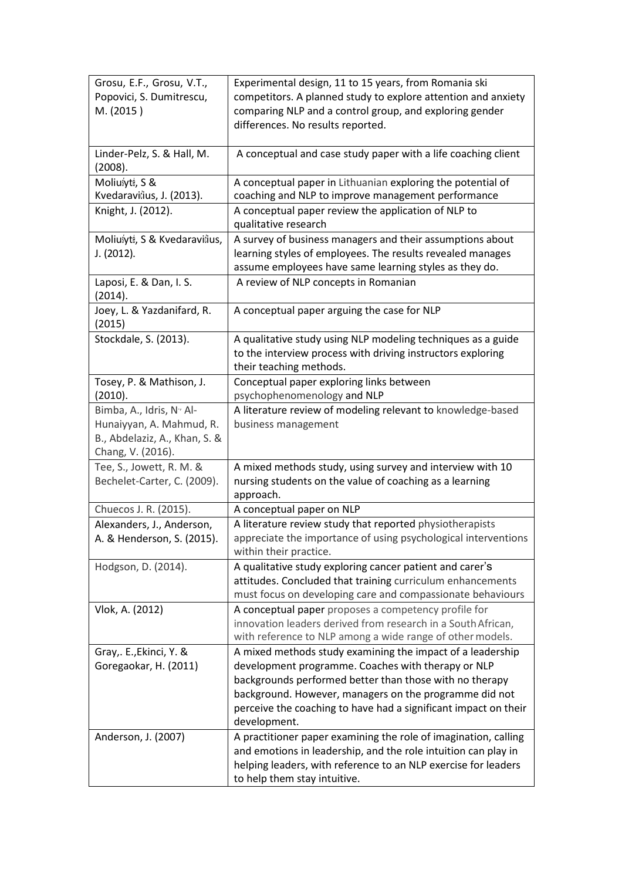| Grosu, E.F., Grosu, V.T.,<br>Popovici, S. Dumitrescu,<br>M. (2015)                                                     | Experimental design, 11 to 15 years, from Romania ski<br>competitors. A planned study to explore attention and anxiety<br>comparing NLP and a control group, and exploring gender<br>differences. No results reported.                                                                                                   |
|------------------------------------------------------------------------------------------------------------------------|--------------------------------------------------------------------------------------------------------------------------------------------------------------------------------------------------------------------------------------------------------------------------------------------------------------------------|
| Linder-Pelz, S. & Hall, M.<br>(2008).                                                                                  | A conceptual and case study paper with a life coaching client                                                                                                                                                                                                                                                            |
| Moliušytė, S &<br>Kvedaravičius, J. (2013).                                                                            | A conceptual paper in Lithuanian exploring the potential of<br>coaching and NLP to improve management performance                                                                                                                                                                                                        |
| Knight, J. (2012).                                                                                                     | A conceptual paper review the application of NLP to<br>qualitative research                                                                                                                                                                                                                                              |
| Moliušytė, S & Kvedaravičius,<br>J. (2012).                                                                            | A survey of business managers and their assumptions about<br>learning styles of employees. The results revealed manages<br>assume employees have same learning styles as they do.                                                                                                                                        |
| Laposi, E. & Dan, I. S.<br>(2014).                                                                                     | A review of NLP concepts in Romanian                                                                                                                                                                                                                                                                                     |
| Joey, L. & Yazdanifard, R.<br>(2015)                                                                                   | A conceptual paper arguing the case for NLP                                                                                                                                                                                                                                                                              |
| Stockdale, S. (2013).                                                                                                  | A qualitative study using NLP modeling techniques as a guide<br>to the interview process with driving instructors exploring<br>their teaching methods.                                                                                                                                                                   |
| Tosey, P. & Mathison, J.<br>(2010).                                                                                    | Conceptual paper exploring links between<br>psychophenomenology and NLP                                                                                                                                                                                                                                                  |
| Bimba, A., Idris, N <sup>y</sup> Al-<br>Hunaiyyan, A. Mahmud, R.<br>B., Abdelaziz, A., Khan, S. &<br>Chang, V. (2016). | A literature review of modeling relevant to knowledge-based<br>business management                                                                                                                                                                                                                                       |
| Tee, S., Jowett, R. M. &<br>Bechelet-Carter, C. (2009).                                                                | A mixed methods study, using survey and interview with 10<br>nursing students on the value of coaching as a learning<br>approach.                                                                                                                                                                                        |
| Chuecos J. R. (2015).                                                                                                  | A conceptual paper on NLP                                                                                                                                                                                                                                                                                                |
| Alexanders, J., Anderson,<br>A. & Henderson, S. (2015).                                                                | A literature review study that reported physiotherapists<br>appreciate the importance of using psychological interventions<br>within their practice.                                                                                                                                                                     |
| Hodgson, D. (2014).                                                                                                    | A qualitative study exploring cancer patient and carer's<br>attitudes. Concluded that training curriculum enhancements<br>must focus on developing care and compassionate behaviours                                                                                                                                     |
| Vlok, A. (2012)                                                                                                        | A conceptual paper proposes a competency profile for<br>innovation leaders derived from research in a South African,<br>with reference to NLP among a wide range of other models.                                                                                                                                        |
| Gray,. E., Ekinci, Y. &<br>Goregaokar, H. (2011)                                                                       | A mixed methods study examining the impact of a leadership<br>development programme. Coaches with therapy or NLP<br>backgrounds performed better than those with no therapy<br>background. However, managers on the programme did not<br>perceive the coaching to have had a significant impact on their<br>development. |
| Anderson, J. (2007)                                                                                                    | A practitioner paper examining the role of imagination, calling<br>and emotions in leadership, and the role intuition can play in<br>helping leaders, with reference to an NLP exercise for leaders<br>to help them stay intuitive.                                                                                      |